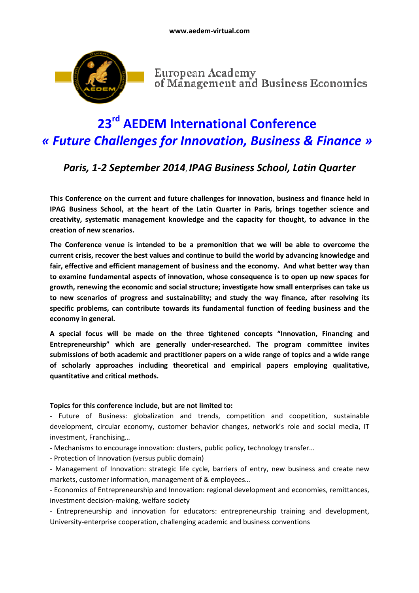

European Academy<br>of Management and Business Economics

# **23rd AEDEM International Conference**  *« Future Challenges for Innovation, Business & Finance »*

# *Paris, 1-2 September 2014*, *IPAG Business School, Latin Quarter*

**This Conference on the current and future challenges for innovation, business and finance held in IPAG Business School, at the heart of the Latin Quarter in Paris, brings together science and creativity, systematic management knowledge and the capacity for thought, to advance in the creation of new scenarios.** 

**The Conference venue is intended to be a premonition that we will be able to overcome the current crisis, recover the best values and continue to build the world by advancing knowledge and fair, effective and efficient management of business and the economy. And what better way than to examine fundamental aspects of innovation, whose consequence is to open up new spaces for growth, renewing the economic and social structure; investigate how small enterprises can take us to new scenarios of progress and sustainability; and study the way finance, after resolving its specific problems, can contribute towards its fundamental function of feeding business and the economy in general.** 

**A special focus will be made on the three tightened concepts "Innovation, Financing and Entrepreneurship" which are generally under-researched. The program committee invites submissions of both academic and practitioner papers on a wide range of topics and a wide range of scholarly approaches including theoretical and empirical papers employing qualitative, quantitative and critical methods.** 

#### **Topics for this conference include, but are not limited to:**

- Future of Business: globalization and trends, competition and coopetition, sustainable development, circular economy, customer behavior changes, network's role and social media, IT investment, Franchising…

- Mechanisms to encourage innovation: clusters, public policy, technology transfer…

- Protection of Innovation (versus public domain)

- Management of Innovation: strategic life cycle, barriers of entry, new business and create new markets, customer information, management of & employees…

- Economics of Entrepreneurship and Innovation: regional development and economies, remittances, investment decision-making, welfare society

- Entrepreneurship and innovation for educators: entrepreneurship training and development, University-enterprise cooperation, challenging academic and business conventions